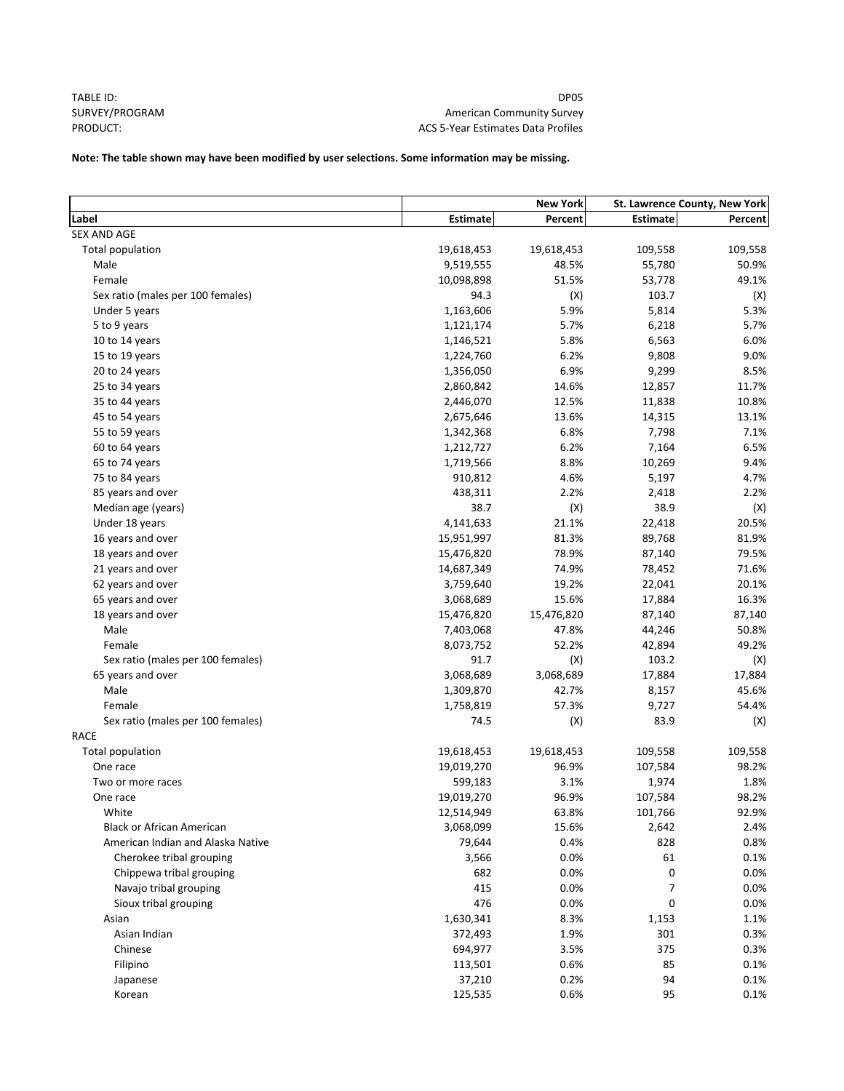TABLE ID: SURVEY/PROGRAM PRODUCT:

DP05 American Community Survey ACS 5‐Year Estimates Data Profiles

# **Note: The table shown may have been modified by user selections. Some information may be missing.**

|                                   | <b>New York</b>   |            | St. Lawrence County, New York |         |
|-----------------------------------|-------------------|------------|-------------------------------|---------|
| Label                             | <b>Estimate</b>   | Percent    | <b>Estimate</b>               | Percent |
| <b>SEX AND AGE</b>                |                   |            |                               |         |
| Total population                  | 19,618,453        | 19,618,453 | 109,558                       | 109,558 |
| Male                              | 9,519,555         | 48.5%      | 55,780                        | 50.9%   |
| Female                            | 10,098,898        | 51.5%      | 53,778                        | 49.1%   |
| Sex ratio (males per 100 females) | 94.3              | (X)        | 103.7                         | (X)     |
| Under 5 years                     | 1,163,606         | 5.9%       | 5,814                         | 5.3%    |
| 5 to 9 years                      | 1,121,174         | 5.7%       | 6,218                         | 5.7%    |
| 10 to 14 years                    | 1,146,521         | 5.8%       | 6,563                         | 6.0%    |
| 15 to 19 years                    | 1,224,760         | 6.2%       | 9,808                         | 9.0%    |
| 20 to 24 years                    | 1,356,050         | 6.9%       | 9,299                         | 8.5%    |
| 25 to 34 years                    | 2,860,842         | 14.6%      | 12,857                        | 11.7%   |
| 35 to 44 years                    | 2,446,070         | 12.5%      | 11,838                        | 10.8%   |
| 45 to 54 years                    | 2,675,646         | 13.6%      | 14,315                        | 13.1%   |
| 55 to 59 years                    | 1,342,368         | 6.8%       | 7,798                         | 7.1%    |
| 60 to 64 years                    | 1,212,727         | 6.2%       | 7,164                         | 6.5%    |
| 65 to 74 years                    | 1,719,566         | 8.8%       | 10,269                        | 9.4%    |
| 75 to 84 years                    | 910,812           | 4.6%       | 5,197                         | 4.7%    |
| 85 years and over                 | 438,311           | 2.2%       | 2,418                         | 2.2%    |
| Median age (years)                | 38.7              | (X)        | 38.9                          | (X)     |
| Under 18 years                    | 4,141,633         | 21.1%      | 22,418                        | 20.5%   |
| 16 years and over                 | 15,951,997        | 81.3%      | 89,768                        | 81.9%   |
| 18 years and over                 | 15,476,820        | 78.9%      | 87,140                        | 79.5%   |
| 21 years and over                 | 14,687,349        | 74.9%      | 78,452                        | 71.6%   |
| 62 years and over                 | 3,759,640         | 19.2%      | 22,041                        | 20.1%   |
| 65 years and over                 | 3,068,689         | 15.6%      | 17,884                        | 16.3%   |
| 18 years and over                 | 15,476,820        | 15,476,820 | 87,140                        | 87,140  |
| Male                              | 7,403,068         | 47.8%      | 44,246                        | 50.8%   |
| Female                            | 8,073,752         | 52.2%      | 42,894                        | 49.2%   |
| Sex ratio (males per 100 females) | 91.7              | (X)        | 103.2                         | (X)     |
| 65 years and over                 | 3,068,689         | 3,068,689  | 17,884                        | 17,884  |
| Male                              | 1,309,870         | 42.7%      | 8,157                         | 45.6%   |
| Female                            |                   | 57.3%      |                               |         |
| Sex ratio (males per 100 females) | 1,758,819<br>74.5 | (X)        | 9,727<br>83.9                 | 54.4%   |
| <b>RACE</b>                       |                   |            |                               | (X)     |
| Total population                  | 19,618,453        | 19,618,453 | 109,558                       | 109,558 |
| One race                          | 19,019,270        | 96.9%      | 107,584                       | 98.2%   |
|                                   | 599,183           | 3.1%       | 1,974                         | 1.8%    |
| Two or more races                 | 19,019,270        | 96.9%      | 107,584                       | 98.2%   |
| One race<br>White                 | 12,514,949        |            |                               | 92.9%   |
|                                   |                   | 63.8%      | 101,766                       |         |
| <b>Black or African American</b>  | 3,068,099         | 15.6%      | 2,642                         | 2.4%    |
| American Indian and Alaska Native | 79,644            | 0.4%       | 828                           | 0.8%    |
| Cherokee tribal grouping          | 3,566             | 0.0%       | 61                            | 0.1%    |
| Chippewa tribal grouping          | 682               | 0.0%       | 0                             | 0.0%    |
| Navajo tribal grouping            | 415               | 0.0%       | 7                             | 0.0%    |
| Sioux tribal grouping             | 476               | 0.0%       | 0                             | 0.0%    |
| Asian                             | 1,630,341         | 8.3%       | 1,153                         | 1.1%    |
| Asian Indian                      | 372,493           | 1.9%       | 301                           | 0.3%    |
| Chinese                           | 694,977           | 3.5%       | 375                           | 0.3%    |
| Filipino                          | 113,501           | 0.6%       | 85                            | 0.1%    |
| Japanese                          | 37,210            | 0.2%       | 94                            | 0.1%    |
| Korean                            | 125,535           | 0.6%       | 95                            | 0.1%    |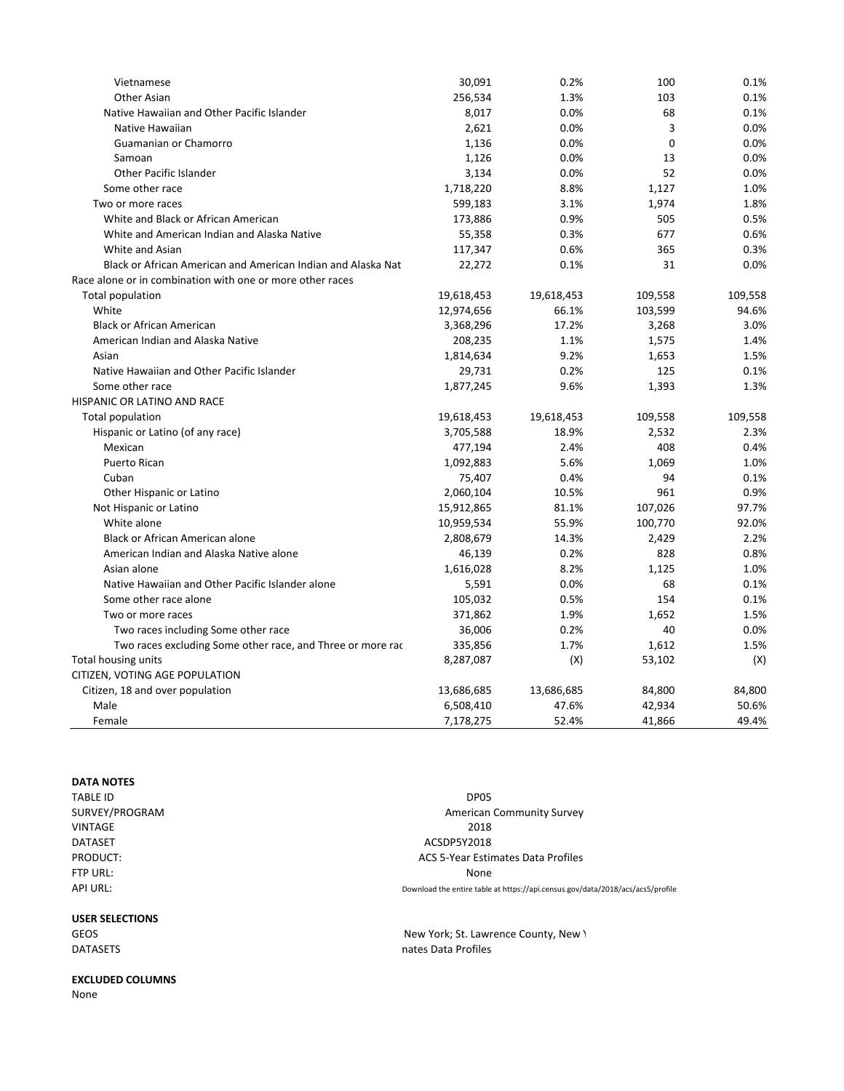| Vietnamese                                                   | 30,091     | 0.2%       | 100         | 0.1%    |
|--------------------------------------------------------------|------------|------------|-------------|---------|
| Other Asian                                                  | 256,534    | 1.3%       | 103         | 0.1%    |
| Native Hawaiian and Other Pacific Islander                   | 8,017      | 0.0%       | 68          | 0.1%    |
| Native Hawaiian                                              | 2,621      | 0.0%       | 3           | 0.0%    |
| Guamanian or Chamorro                                        | 1,136      | 0.0%       | $\mathbf 0$ | 0.0%    |
| Samoan                                                       | 1,126      | 0.0%       | 13          | 0.0%    |
| Other Pacific Islander                                       | 3,134      | 0.0%       | 52          | 0.0%    |
| Some other race                                              | 1,718,220  | 8.8%       | 1,127       | 1.0%    |
| Two or more races                                            | 599,183    | 3.1%       | 1,974       | 1.8%    |
| White and Black or African American                          | 173,886    | 0.9%       | 505         | 0.5%    |
| White and American Indian and Alaska Native                  | 55,358     | 0.3%       | 677         | 0.6%    |
| White and Asian                                              | 117,347    | 0.6%       | 365         | 0.3%    |
| Black or African American and American Indian and Alaska Nat | 22,272     | 0.1%       | 31          | 0.0%    |
| Race alone or in combination with one or more other races    |            |            |             |         |
| Total population                                             | 19,618,453 | 19,618,453 | 109,558     | 109,558 |
| White                                                        | 12,974,656 | 66.1%      | 103,599     | 94.6%   |
| <b>Black or African American</b>                             | 3,368,296  | 17.2%      | 3,268       | 3.0%    |
| American Indian and Alaska Native                            | 208,235    | 1.1%       | 1,575       | 1.4%    |
| Asian                                                        | 1,814,634  | 9.2%       | 1,653       | 1.5%    |
| Native Hawaiian and Other Pacific Islander                   | 29,731     | 0.2%       | 125         | 0.1%    |
| Some other race                                              | 1,877,245  | 9.6%       | 1,393       | 1.3%    |
| HISPANIC OR LATINO AND RACE                                  |            |            |             |         |
| Total population                                             | 19,618,453 | 19,618,453 | 109,558     | 109,558 |
| Hispanic or Latino (of any race)                             | 3,705,588  | 18.9%      | 2,532       | 2.3%    |
| Mexican                                                      | 477,194    | 2.4%       | 408         | 0.4%    |
| <b>Puerto Rican</b>                                          | 1,092,883  | 5.6%       | 1,069       | 1.0%    |
| Cuban                                                        | 75,407     | 0.4%       | 94          | 0.1%    |
| Other Hispanic or Latino                                     | 2,060,104  | 10.5%      | 961         | 0.9%    |
| Not Hispanic or Latino                                       | 15,912,865 | 81.1%      | 107,026     | 97.7%   |
| White alone                                                  | 10,959,534 | 55.9%      | 100,770     | 92.0%   |
| Black or African American alone                              | 2,808,679  | 14.3%      | 2,429       | 2.2%    |
| American Indian and Alaska Native alone                      | 46,139     | 0.2%       | 828         | 0.8%    |
| Asian alone                                                  | 1,616,028  | 8.2%       | 1,125       | 1.0%    |
| Native Hawaiian and Other Pacific Islander alone             | 5,591      | 0.0%       | 68          | 0.1%    |
| Some other race alone                                        | 105,032    | 0.5%       | 154         | 0.1%    |
| Two or more races                                            | 371,862    | 1.9%       | 1,652       | 1.5%    |
| Two races including Some other race                          | 36,006     | 0.2%       | 40          | 0.0%    |
| Two races excluding Some other race, and Three or more rac   | 335,856    | 1.7%       | 1,612       | 1.5%    |
| Total housing units                                          | 8,287,087  | (X)        | 53,102      | (X)     |
| CITIZEN, VOTING AGE POPULATION                               |            |            |             |         |
| Citizen, 18 and over population                              | 13,686,685 | 13,686,685 | 84,800      | 84,800  |
| Male                                                         | 6,508,410  | 47.6%      | 42,934      | 50.6%   |
| Female                                                       | 7,178,275  | 52.4%      | 41,866      | 49.4%   |

## **DATA NOTES**

| TABLE ID       | DP05                                                                           |
|----------------|--------------------------------------------------------------------------------|
| SURVEY/PROGRAM | <b>American Community Survey</b>                                               |
| VINTAGE        | 2018                                                                           |
| <b>DATASET</b> | ACSDP5Y2018                                                                    |
| PRODUCT:       | ACS 5-Year Estimates Data Profiles                                             |
| FTP URL:       | None                                                                           |
| API URL:       | Download the entire table at https://api.census.gov/data/2018/acs/acs5/profile |
|                |                                                                                |

New York; St. Lawrence County, New Y

**USER SELECTIONS**

GEOS **DATASETS** mates Data Profiles

# **EXCLUDED COLUMNS**

None